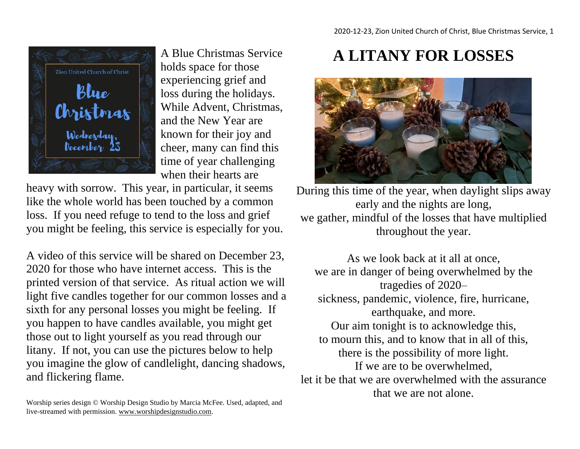

A Blue Christmas Service holds space for those experiencing grief and loss during the holidays. While Advent, Christmas, and the New Year are known for their joy and cheer, many can find this time of year challenging when their hearts are

heavy with sorrow. This year, in particular, it seems like the whole world has been touched by a common loss. If you need refuge to tend to the loss and grief you might be feeling, this service is especially for you.

A video of this service will be shared on December 23, 2020 for those who have internet access. This is the printed version of that service. As ritual action we will light five candles together for our common losses and a sixth for any personal losses you might be feeling. If you happen to have candles available, you might get those out to light yourself as you read through our litany. If not, you can use the pictures below to help you imagine the glow of candlelight, dancing shadows, and flickering flame.

Worship series design © Worship Design Studio by Marcia McFee. Used, adapted, and live-streamed with permission. [www.worshipdesignstudio.com.](http://www.worshipdesignstudio.com/)

## **A LITANY FOR LOSSES**



During this time of the year, when daylight slips away early and the nights are long, we gather, mindful of the losses that have multiplied throughout the year.

As we look back at it all at once, we are in danger of being overwhelmed by the tragedies of 2020– sickness, pandemic, violence, fire, hurricane, earthquake, and more. Our aim tonight is to acknowledge this, to mourn this, and to know that in all of this, there is the possibility of more light. If we are to be overwhelmed, let it be that we are overwhelmed with the assurance that we are not alone.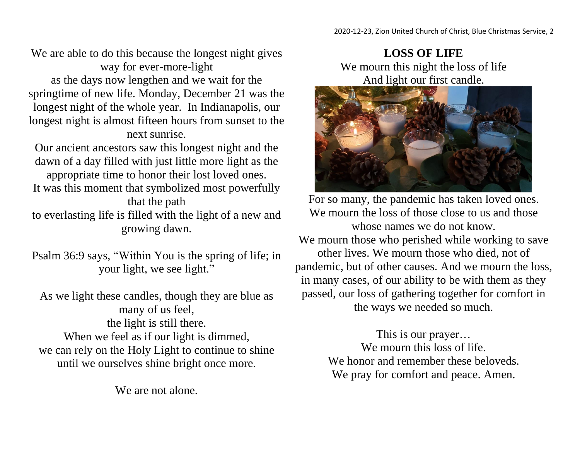We are able to do this because the longest night gives way for ever-more-light as the days now lengthen and we wait for the springtime of new life. Monday, December 21 was the longest night of the whole year. In Indianapolis, our longest night is almost fifteen hours from sunset to the next sunrise.

Our ancient ancestors saw this longest night and the dawn of a day filled with just little more light as the appropriate time to honor their lost loved ones. It was this moment that symbolized most powerfully that the path

to everlasting life is filled with the light of a new and growing dawn.

Psalm 36:9 says, "Within You is the spring of life; in your light, we see light."

As we light these candles, though they are blue as many of us feel, the light is still there. When we feel as if our light is dimmed, we can rely on the Holy Light to continue to shine until we ourselves shine bright once more.

We are not alone.

**LOSS OF LIFE** We mourn this night the loss of life And light our first candle.



For so many, the pandemic has taken loved ones. We mourn the loss of those close to us and those whose names we do not know.

We mourn those who perished while working to save other lives. We mourn those who died, not of pandemic, but of other causes. And we mourn the loss, in many cases, of our ability to be with them as they passed, our loss of gathering together for comfort in the ways we needed so much.

> This is our prayer… We mourn this loss of life. We honor and remember these beloveds. We pray for comfort and peace. Amen.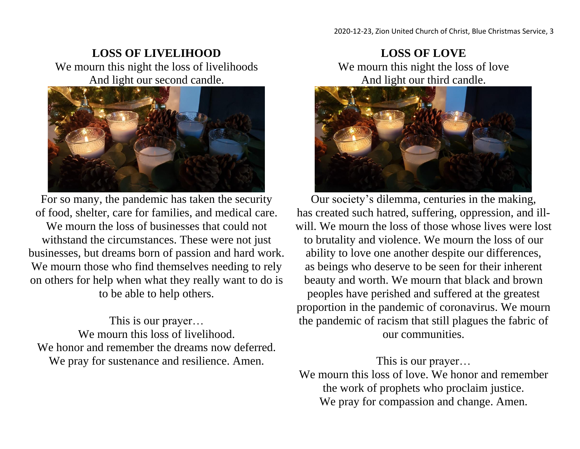## **LOSS OF LIVELIHOOD** We mourn this night the loss of livelihoods And light our second candle.



For so many, the pandemic has taken the security of food, shelter, care for families, and medical care. We mourn the loss of businesses that could not withstand the circumstances. These were not just businesses, but dreams born of passion and hard work. We mourn those who find themselves needing to rely on others for help when what they really want to do is to be able to help others.

This is our prayer… We mourn this loss of livelihood. We honor and remember the dreams now deferred. We pray for sustenance and resilience. Amen.

**LOSS OF LOVE** We mourn this night the loss of love And light our third candle.



Our society's dilemma, centuries in the making, has created such hatred, suffering, oppression, and illwill. We mourn the loss of those whose lives were lost to brutality and violence. We mourn the loss of our ability to love one another despite our differences, as beings who deserve to be seen for their inherent beauty and worth. We mourn that black and brown peoples have perished and suffered at the greatest proportion in the pandemic of coronavirus. We mourn the pandemic of racism that still plagues the fabric of our communities.

This is our prayer…

We mourn this loss of love. We honor and remember the work of prophets who proclaim justice. We pray for compassion and change. Amen.